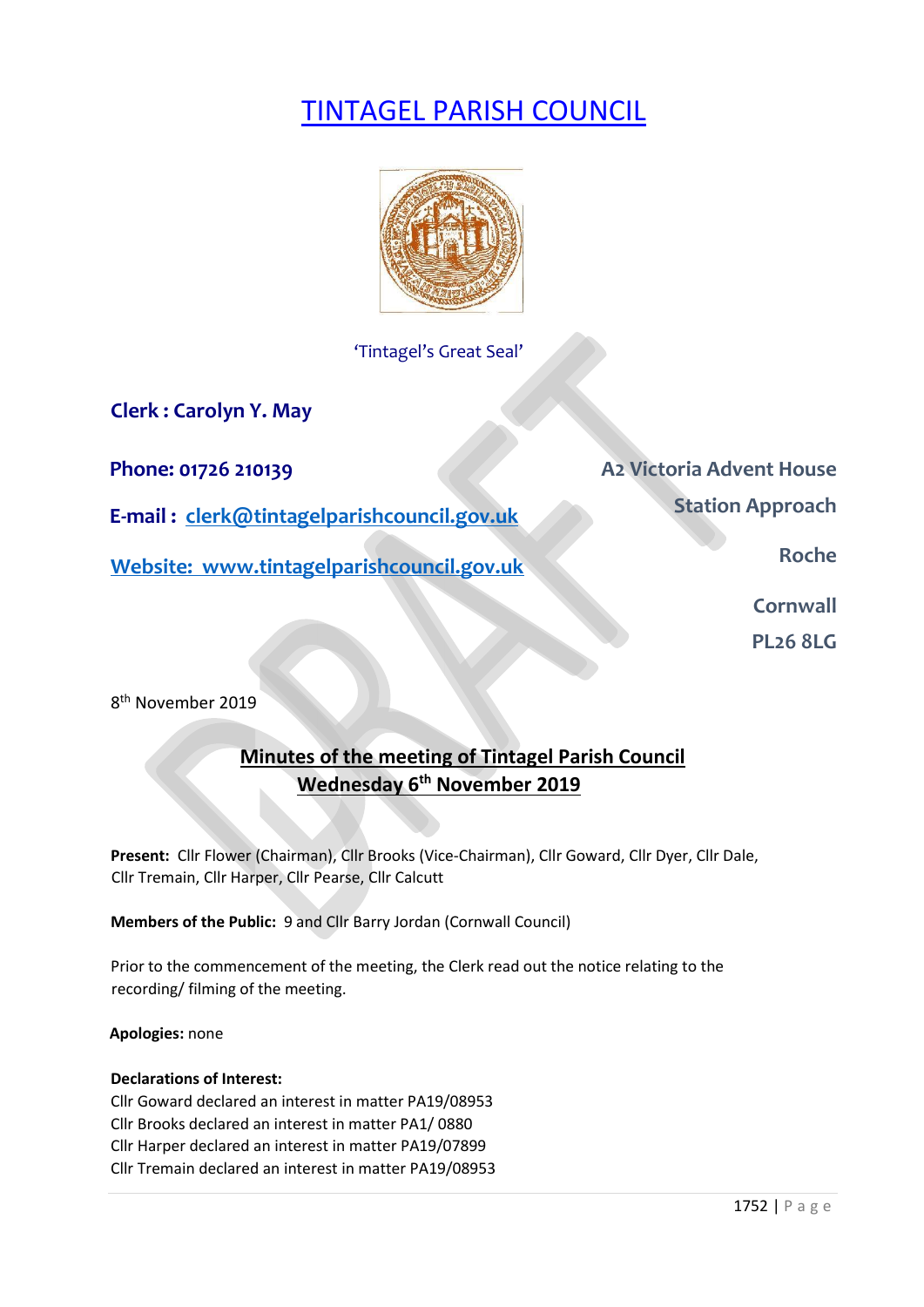# TINTAGEL PARISH COUNCIL



'Tintagel's Great Seal'

**Clerk : Carolyn Y. May** 

**E-mail : clerk@tintagelparishcouncil.gov.uk** 

**Website: www.tintagelparishcouncil.gov.uk** 

**Phone: 01726 210139 A2 Victoria Advent House Station Approach** 

**Roche** 

**Cornwall** 

**PL26 8LG** 

8 th November 2019

# **Minutes of the meeting of Tintagel Parish Council Wednesday 6 th November 2019**

**Present:** Cllr Flower (Chairman), Cllr Brooks (Vice-Chairman), Cllr Goward, Cllr Dyer, Cllr Dale, Cllr Tremain, Cllr Harper, Cllr Pearse, Cllr Calcutt

**Members of the Public:** 9 and Cllr Barry Jordan (Cornwall Council)

Prior to the commencement of the meeting, the Clerk read out the notice relating to the recording/ filming of the meeting.

**Apologies:** none

# **Declarations of Interest:**

Cllr Goward declared an interest in matter PA19/08953 Cllr Brooks declared an interest in matter PA1/ 0880 Cllr Harper declared an interest in matter PA19/07899 Cllr Tremain declared an interest in matter PA19/08953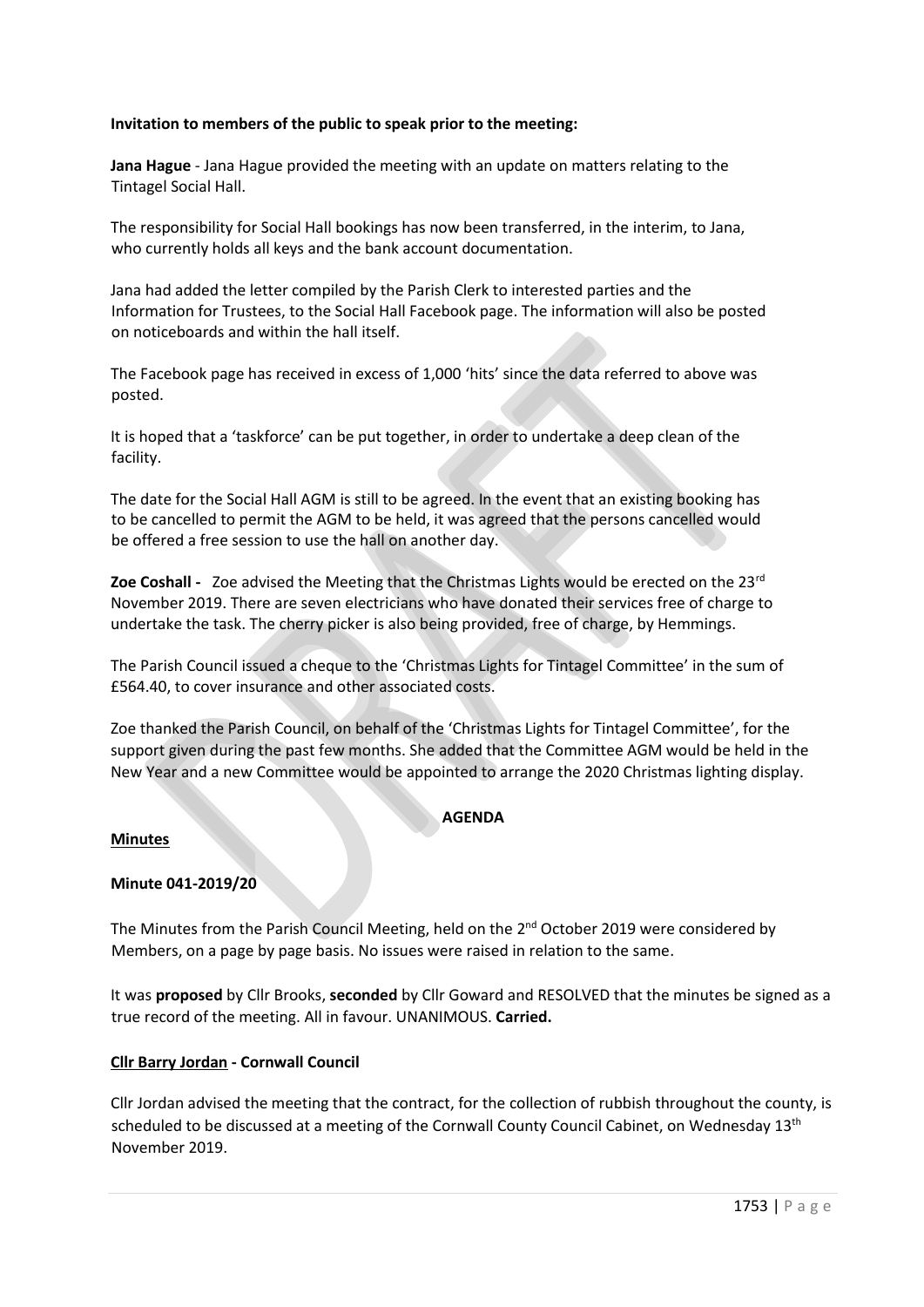# **Invitation to members of the public to speak prior to the meeting:**

**Jana Hague** - Jana Hague provided the meeting with an update on matters relating to the Tintagel Social Hall.

The responsibility for Social Hall bookings has now been transferred, in the interim, to Jana, who currently holds all keys and the bank account documentation.

Jana had added the letter compiled by the Parish Clerk to interested parties and the Information for Trustees, to the Social Hall Facebook page. The information will also be posted on noticeboards and within the hall itself.

The Facebook page has received in excess of 1,000 'hits' since the data referred to above was posted.

It is hoped that a 'taskforce' can be put together, in order to undertake a deep clean of the facility.

The date for the Social Hall AGM is still to be agreed. In the event that an existing booking has to be cancelled to permit the AGM to be held, it was agreed that the persons cancelled would be offered a free session to use the hall on another day.

**Zoe Coshall -** Zoe advised the Meeting that the Christmas Lights would be erected on the 23rd November 2019. There are seven electricians who have donated their services free of charge to undertake the task. The cherry picker is also being provided, free of charge, by Hemmings.

The Parish Council issued a cheque to the 'Christmas Lights for Tintagel Committee' in the sum of £564.40, to cover insurance and other associated costs.

Zoe thanked the Parish Council, on behalf of the 'Christmas Lights for Tintagel Committee', for the support given during the past few months. She added that the Committee AGM would be held in the New Year and a new Committee would be appointed to arrange the 2020 Christmas lighting display.

## **AGENDA**

## **Minutes**

## **Minute 041-2019/20**

The Minutes from the Parish Council Meeting, held on the 2<sup>nd</sup> October 2019 were considered by Members, on a page by page basis. No issues were raised in relation to the same.

It was **proposed** by Cllr Brooks, **seconded** by Cllr Goward and RESOLVED that the minutes be signed as a true record of the meeting. All in favour. UNANIMOUS. **Carried.**

## **Cllr Barry Jordan - Cornwall Council**

Cllr Jordan advised the meeting that the contract, for the collection of rubbish throughout the county, is scheduled to be discussed at a meeting of the Cornwall County Council Cabinet, on Wednesday 13<sup>th</sup> November 2019.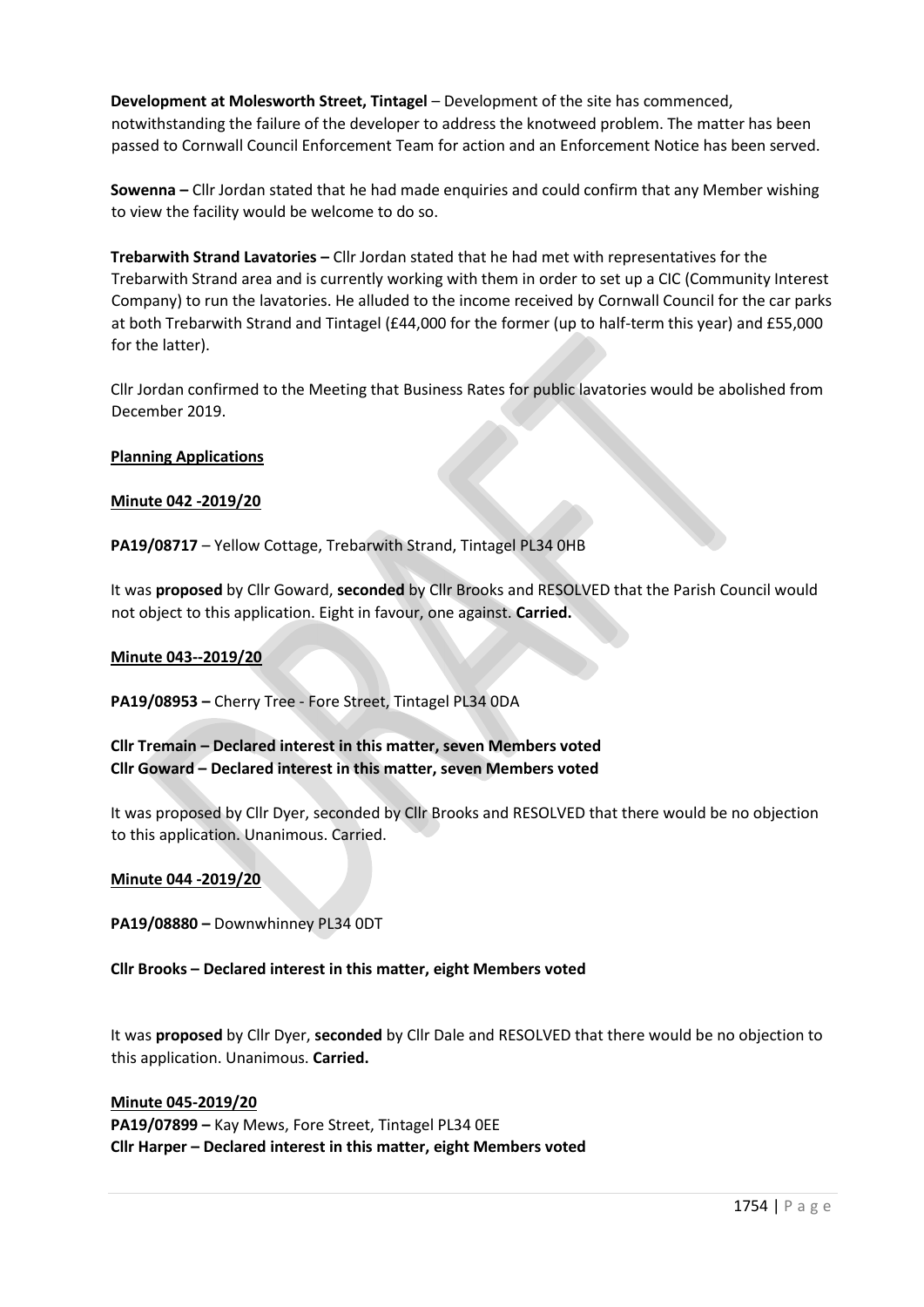**Development at Molesworth Street, Tintagel** – Development of the site has commenced, notwithstanding the failure of the developer to address the knotweed problem. The matter has been passed to Cornwall Council Enforcement Team for action and an Enforcement Notice has been served.

**Sowenna –** Cllr Jordan stated that he had made enquiries and could confirm that any Member wishing to view the facility would be welcome to do so.

**Trebarwith Strand Lavatories –** Cllr Jordan stated that he had met with representatives for the Trebarwith Strand area and is currently working with them in order to set up a CIC (Community Interest Company) to run the lavatories. He alluded to the income received by Cornwall Council for the car parks at both Trebarwith Strand and Tintagel (£44,000 for the former (up to half-term this year) and £55,000 for the latter).

Cllr Jordan confirmed to the Meeting that Business Rates for public lavatories would be abolished from December 2019.

## **Planning Applications**

#### **Minute 042 -2019/20**

**PA19/08717** – Yellow Cottage, Trebarwith Strand, Tintagel PL34 0HB

It was **proposed** by Cllr Goward, **seconded** by Cllr Brooks and RESOLVED that the Parish Council would not object to this application. Eight in favour, one against. **Carried.**

#### **Minute 043--2019/20**

**PA19/08953 –** Cherry Tree - Fore Street, Tintagel PL34 0DA

**Cllr Tremain – Declared interest in this matter, seven Members voted Cllr Goward – Declared interest in this matter, seven Members voted**

It was proposed by Cllr Dyer, seconded by Cllr Brooks and RESOLVED that there would be no objection to this application. Unanimous. Carried.

#### **Minute 044 -2019/20**

**PA19/08880 –** Downwhinney PL34 0DT

**Cllr Brooks – Declared interest in this matter, eight Members voted**

It was **proposed** by Cllr Dyer, **seconded** by Cllr Dale and RESOLVED that there would be no objection to this application. Unanimous. **Carried.**

## **Minute 045-2019/20**

**PA19/07899 –** Kay Mews, Fore Street, Tintagel PL34 0EE **Cllr Harper – Declared interest in this matter, eight Members voted**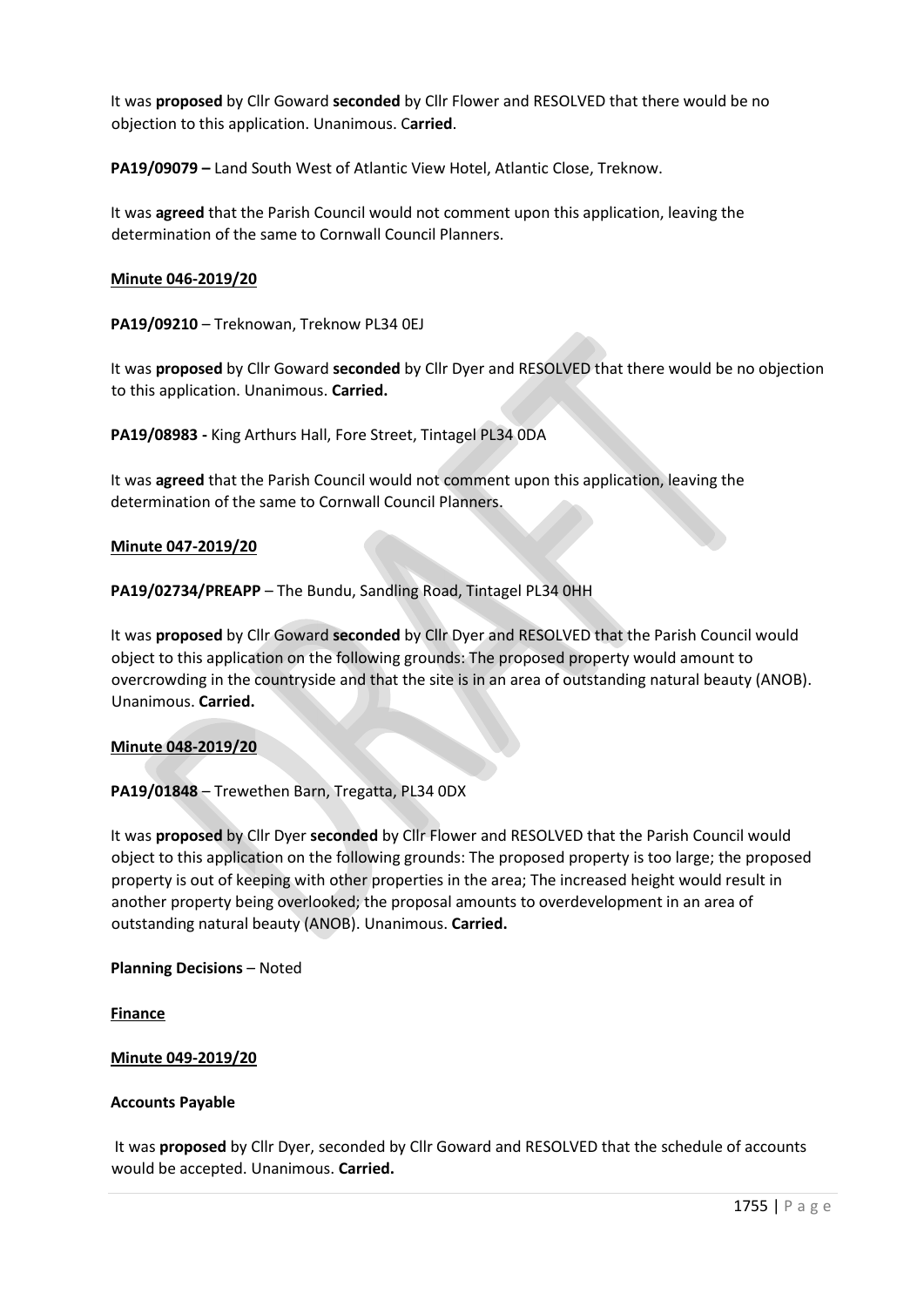It was **proposed** by Cllr Goward **seconded** by Cllr Flower and RESOLVED that there would be no objection to this application. Unanimous. C**arried**.

**PA19/09079 –** Land South West of Atlantic View Hotel, Atlantic Close, Treknow.

It was **agreed** that the Parish Council would not comment upon this application, leaving the determination of the same to Cornwall Council Planners.

#### **Minute 046-2019/20**

**PA19/09210** – Treknowan, Treknow PL34 0EJ

It was **proposed** by Cllr Goward **seconded** by Cllr Dyer and RESOLVED that there would be no objection to this application. Unanimous. **Carried.**

**PA19/08983 -** King Arthurs Hall, Fore Street, Tintagel PL34 0DA

It was **agreed** that the Parish Council would not comment upon this application, leaving the determination of the same to Cornwall Council Planners.

#### **Minute 047-2019/20**

**PA19/02734/PREAPP** – The Bundu, Sandling Road, Tintagel PL34 0HH

It was **proposed** by Cllr Goward **seconded** by Cllr Dyer and RESOLVED that the Parish Council would object to this application on the following grounds: The proposed property would amount to overcrowding in the countryside and that the site is in an area of outstanding natural beauty (ANOB). Unanimous. **Carried.**

## **Minute 048-2019/20**

**PA19/01848** – Trewethen Barn, Tregatta, PL34 0DX

It was **proposed** by Cllr Dyer **seconded** by Cllr Flower and RESOLVED that the Parish Council would object to this application on the following grounds: The proposed property is too large; the proposed property is out of keeping with other properties in the area; The increased height would result in another property being overlooked; the proposal amounts to overdevelopment in an area of outstanding natural beauty (ANOB). Unanimous. **Carried.** 

**Planning Decisions** – Noted

**Finance** 

## **Minute 049-2019/20**

#### **Accounts Payable**

It was **proposed** by Cllr Dyer, seconded by Cllr Goward and RESOLVED that the schedule of accounts would be accepted. Unanimous. **Carried.**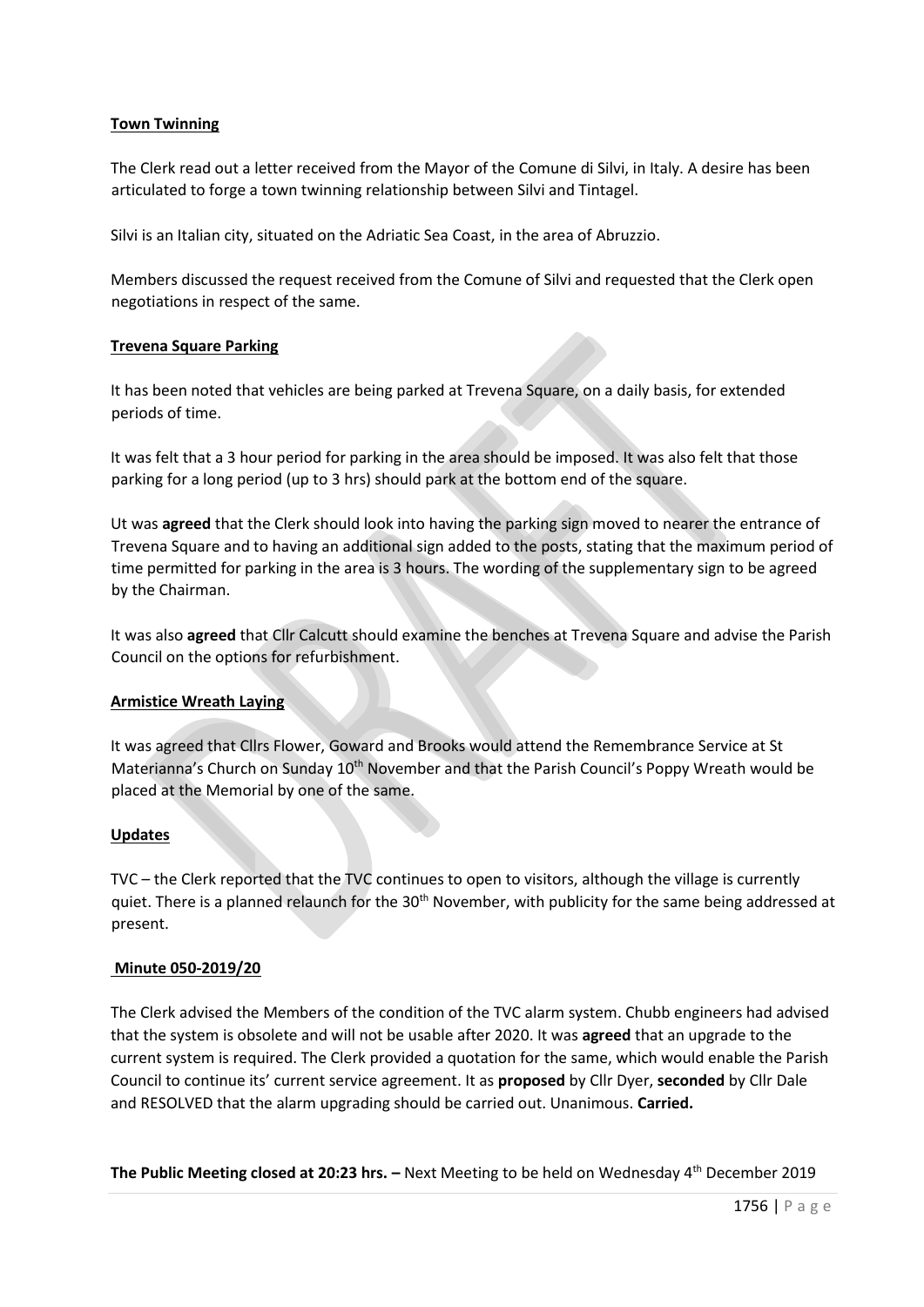# **Town Twinning**

The Clerk read out a letter received from the Mayor of the Comune di Silvi, in Italy. A desire has been articulated to forge a town twinning relationship between Silvi and Tintagel.

Silvi is an Italian city, situated on the Adriatic Sea Coast, in the area of Abruzzio.

Members discussed the request received from the Comune of Silvi and requested that the Clerk open negotiations in respect of the same.

## **Trevena Square Parking**

It has been noted that vehicles are being parked at Trevena Square, on a daily basis, for extended periods of time.

It was felt that a 3 hour period for parking in the area should be imposed. It was also felt that those parking for a long period (up to 3 hrs) should park at the bottom end of the square.

Ut was **agreed** that the Clerk should look into having the parking sign moved to nearer the entrance of Trevena Square and to having an additional sign added to the posts, stating that the maximum period of time permitted for parking in the area is 3 hours. The wording of the supplementary sign to be agreed by the Chairman.

It was also **agreed** that Cllr Calcutt should examine the benches at Trevena Square and advise the Parish Council on the options for refurbishment.

## **Armistice Wreath Laying**

It was agreed that Cllrs Flower, Goward and Brooks would attend the Remembrance Service at St Materianna's Church on Sunday 10<sup>th</sup> November and that the Parish Council's Poppy Wreath would be placed at the Memorial by one of the same.

## **Updates**

TVC – the Clerk reported that the TVC continues to open to visitors, although the village is currently quiet. There is a planned relaunch for the 30<sup>th</sup> November, with publicity for the same being addressed at present.

## **Minute 050-2019/20**

The Clerk advised the Members of the condition of the TVC alarm system. Chubb engineers had advised that the system is obsolete and will not be usable after 2020. It was **agreed** that an upgrade to the current system is required. The Clerk provided a quotation for the same, which would enable the Parish Council to continue its' current service agreement. It as **proposed** by Cllr Dyer, **seconded** by Cllr Dale and RESOLVED that the alarm upgrading should be carried out. Unanimous. **Carried.**

**The Public Meeting closed at 20:23 hrs. –** Next Meeting to be held on Wednesday 4th December 2019